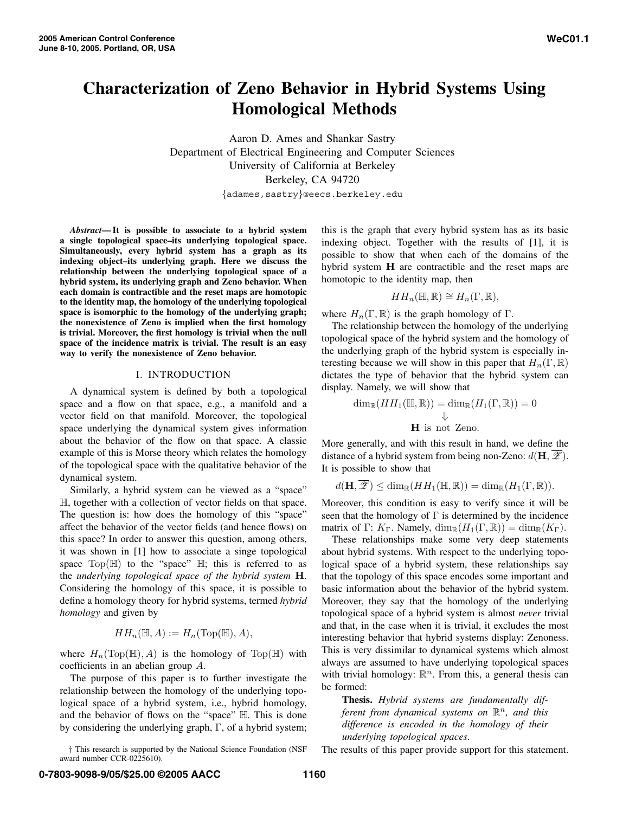# **Characterization of Zeno Behavior in Hybrid Systems Using Homological Methods**

Aaron D. Ames and Shankar Sastry Department of Electrical Engineering and Computer Sciences University of California at Berkeley Berkeley, CA 94720

{adames,sastry}@eecs.berkeley.edu

*Abstract***— It is possible to associate to a hybrid system a single topological space–its underlying topological space. Simultaneously, every hybrid system has a graph as its indexing object–its underlying graph. Here we discuss the relationship between the underlying topological space of a hybrid system, its underlying graph and Zeno behavior. When each domain is contractible and the reset maps are homotopic to the identity map, the homology of the underlying topological space is isomorphic to the homology of the underlying graph; the nonexistence of Zeno is implied when the first homology is trivial. Moreover, the first homology is trivial when the null space of the incidence matrix is trivial. The result is an easy way to verify the nonexistence of Zeno behavior.**

#### I. INTRODUCTION

A dynamical system is defined by both a topological space and a flow on that space, e.g., a manifold and a vector field on that manifold. Moreover, the topological space underlying the dynamical system gives information about the behavior of the flow on that space. A classic example of this is Morse theory which relates the homology of the topological space with the qualitative behavior of the dynamical system.

Similarly, a hybrid system can be viewed as a "space" H, together with a collection of vector fields on that space. The question is: how does the homology of this "space" affect the behavior of the vector fields (and hence flows) on this space? In order to answer this question, among others, it was shown in [1] how to associate a singe topological space  $Top(\mathbb{H})$  to the "space"  $\mathbb{H}$ ; this is referred to as the *underlying topological space of the hybrid system* **H**. Considering the homology of this space, it is possible to define a homology theory for hybrid systems, termed *hybrid homology* and given by

$$
HH_n(\mathbb{H}, A) := H_n(\text{Top}(\mathbb{H}), A),
$$

where  $H_n(\text{Top}(\mathbb{H}), A)$  is the homology of  $\text{Top}(\mathbb{H})$  with coefficients in an abelian group A.

The purpose of this paper is to further investigate the relationship between the homology of the underlying topological space of a hybrid system, i.e., hybrid homology, and the behavior of flows on the "space" H. This is done by considering the underlying graph, Γ, of a hybrid system;

† This research is supported by the National Science Foundation (NSF award number CCR-0225610).

this is the graph that every hybrid system has as its basic indexing object. Together with the results of [1], it is possible to show that when each of the domains of the hybrid system **H** are contractible and the reset maps are homotopic to the identity map, then

$$
HH_n(\mathbb{H}, \mathbb{R}) \cong H_n(\Gamma, \mathbb{R}),
$$

where  $H_n(\Gamma,\mathbb{R})$  is the graph homology of  $\Gamma$ .

The relationship between the homology of the underlying topological space of the hybrid system and the homology of the underlying graph of the hybrid system is especially interesting because we will show in this paper that  $H_n(\Gamma,\mathbb{R})$ dictates the type of behavior that the hybrid system can display. Namely, we will show that

$$
\dim_{\mathbb{R}}(HH_1(\mathbb{H}, \mathbb{R})) = \dim_{\mathbb{R}}(H_1(\Gamma, \mathbb{R})) = 0
$$
  

$$
\Downarrow
$$
  
**H** is not Zeno.

More generally, and with this result in hand, we define the distance of a hybrid system from being non-Zeno:  $d(\mathbf{H}, \mathcal{Z})$ . It is possible to show that

 $d(\mathbf{H}, \overline{\mathscr{L}}) \leq \dim_{\mathbb{R}} (HH_1(\mathbb{H}, \mathbb{R})) = \dim_{\mathbb{R}} (H_1(\Gamma, \mathbb{R})).$ 

Moreover, this condition is easy to verify since it will be seen that the homology of  $\Gamma$  is determined by the incidence matrix of Γ:  $K_{\Gamma}$ . Namely,  $\dim_{\mathbb{R}}(H_1(\Gamma,\mathbb{R})) = \dim_{\mathbb{R}}(K_{\Gamma})$ .

These relationships make some very deep statements about hybrid systems. With respect to the underlying topological space of a hybrid system, these relationships say that the topology of this space encodes some important and basic information about the behavior of the hybrid system. Moreover, they say that the homology of the underlying topological space of a hybrid system is almost *never* trivial and that, in the case when it is trivial, it excludes the most interesting behavior that hybrid systems display: Zenoness. This is very dissimilar to dynamical systems which almost always are assumed to have underlying topological spaces with trivial homology:  $\mathbb{R}^n$ . From this, a general thesis can be formed:

**Thesis.** *Hybrid systems are fundamentally different from dynamical systems on*  $\mathbb{R}^n$ *, and this difference is encoded in the homology of their underlying topological spaces*.

The results of this paper provide support for this statement.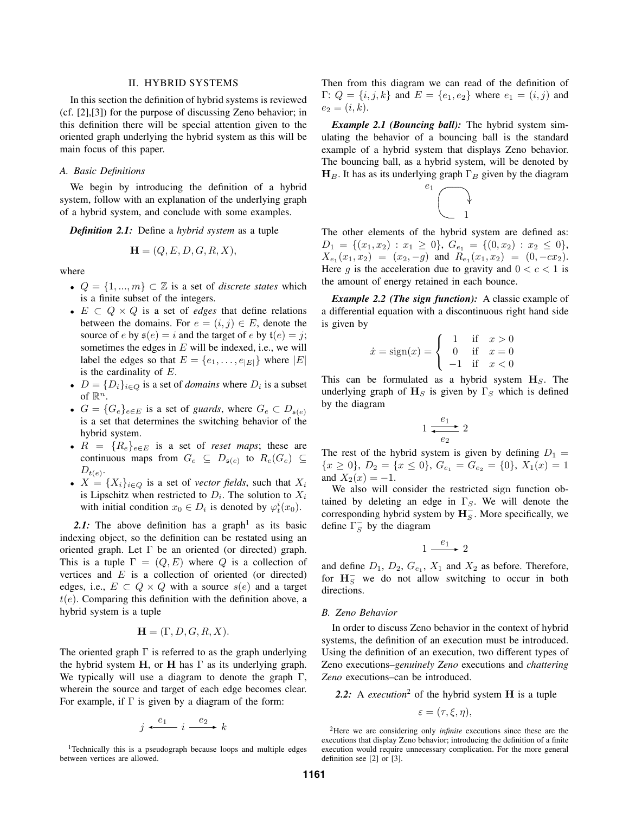#### II. HYBRID SYSTEMS

In this section the definition of hybrid systems is reviewed (cf. [2],[3]) for the purpose of discussing Zeno behavior; in this definition there will be special attention given to the oriented graph underlying the hybrid system as this will be main focus of this paper.

# *A. Basic Definitions*

We begin by introducing the definition of a hybrid system, follow with an explanation of the underlying graph of a hybrid system, and conclude with some examples.

*Definition 2.1:* Define a *hybrid system* as a tuple

$$
\mathbf{H} = (Q, E, D, G, R, X),
$$

where

- $Q = \{1, ..., m\} \subset \mathbb{Z}$  is a set of *discrete states* which is a finite subset of the integers.
- E ⊂ Q × Q is a set of *edges* that define relations between the domains. For  $e = (i, j) \in E$ , denote the source of e by  $\mathfrak{s}(e) = i$  and the target of e by  $\mathfrak{t}(e) = i$ ; sometimes the edges in  $E$  will be indexed, i.e., we will label the edges so that  $E = \{e_1, \ldots, e_{|E|}\}\$  where  $|E|$ is the cardinality of  $E$ .
- $D = \{D_i\}_{i \in Q}$  is a set of *domains* where  $D_i$  is a subset of  $\mathbb{R}^n$ .
- $G = \{G_e\}_{e \in E}$  is a set of *guards*, where  $G_e \subset D_{\mathfrak{s}(e)}$ is a set that determines the switching behavior of the hybrid system.
- $R = \{R_e\}_{e \in E}$  is a set of *reset maps*; these are continuous maps from  $G_e \subseteq D_{\mathfrak{s}(e)}$  to  $R_e(G_e) \subseteq$  $D_{t(e)}$ .
- $X = \{X_i\}_{i \in Q}$  is a set of *vector fields*, such that  $X_i$ is Lipschitz when restricted to  $D_i$ . The solution to  $X_i$ with initial condition  $x_0 \in D_i$  is denoted by  $\varphi_t^i(x_0)$ .

2.1: The above definition has a graph<sup>1</sup> as its basic indexing object, so the definition can be restated using an oriented graph. Let  $\Gamma$  be an oriented (or directed) graph. This is a tuple  $\Gamma=(Q, E)$  where Q is a collection of vertices and  $E$  is a collection of oriented (or directed) edges, i.e.,  $E \subset Q \times Q$  with a source  $s(e)$  and a target  $t(e)$ . Comparing this definition with the definition above, a hybrid system is a tuple

$$
\mathbf{H} = (\Gamma, D, G, R, X).
$$

The oriented graph  $\Gamma$  is referred to as the graph underlying the hybrid system **H**, or **H** has Γ as its underlying graph. We typically will use a diagram to denote the graph  $\Gamma$ , wherein the source and target of each edge becomes clear. For example, if  $\Gamma$  is given by a diagram of the form:

$$
j \xleftarrow{e_1} i \xrightarrow{e_2} k
$$

<sup>1</sup>Technically this is a pseudograph because loops and multiple edges between vertices are allowed.

Then from this diagram we can read of the definition of Γ:  $Q = \{i, j, k\}$  and  $E = \{e_1, e_2\}$  where  $e_1 = (i, j)$  and  $e_2 = (i, k).$ 

*Example 2.1 (Bouncing ball):* The hybrid system simulating the behavior of a bouncing ball is the standard example of a hybrid system that displays Zeno behavior. The bouncing ball, as a hybrid system, will be denoted by  $H_B$ . It has as its underlying graph  $\Gamma_B$  given by the diagram



The other elements of the hybrid system are defined as:  $D_1 = \{(x_1, x_2) : x_1 \geq 0\}, G_{e_1} = \{(0, x_2) : x_2 \leq 0\},\$  $X_{e_1}(x_1, x_2) = (x_2, -g)$  and  $R_{e_1}(x_1, x_2) = (0, -cx_2).$ Here g is the acceleration due to gravity and  $0 < c < 1$  is the amount of energy retained in each bounce.

*Example 2.2 (The sign function):* A classic example of a differential equation with a discontinuous right hand side is given by

$$
\dot{x} = sign(x) = \begin{cases}\n1 & \text{if } x > 0 \\
0 & \text{if } x = 0 \\
-1 & \text{if } x < 0\n\end{cases}
$$

This can be formulated as a hybrid system  $H<sub>S</sub>$ . The underlying graph of  $H_S$  is given by  $\Gamma_S$  which is defined by the diagram

$$
1 \xrightarrow{e_1} 2
$$

The rest of the hybrid system is given by defining  $D_1 =$  $\{x \geq 0\}, D_2 = \{x \leq 0\}, G_{e_1} = G_{e_2} = \{0\}, X_1(x) = 1$ and  $X_2(x) = -1$ .

We also will consider the restricted sign function obtained by deleting an edge in  $\Gamma_S$ . We will denote the corresponding hybrid system by  $\mathbf{H}_{S}^-$ . More specifically, we define  $\Gamma_S^-$  by the diagram

$$
1 \xrightarrow{e_1} 2
$$

and define  $D_1$ ,  $D_2$ ,  $G_{e_1}$ ,  $X_1$  and  $X_2$  as before. Therefore, for  $H_S^-$  we do not allow switching to occur in both directions.

### *B. Zeno Behavior*

In order to discuss Zeno behavior in the context of hybrid systems, the definition of an execution must be introduced. Using the definition of an execution, two different types of Zeno executions–*genuinely Zeno* executions and *chattering Zeno* executions–can be introduced.

*2.2:* A *execution*<sup>2</sup> of the hybrid system **H** is a tuple

$$
\varepsilon = (\tau, \xi, \eta),
$$

<sup>2</sup>Here we are considering only *infinite* executions since these are the executions that display Zeno behavior; introducing the definition of a finite execution would require unnecessary complication. For the more general definition see [2] or [3].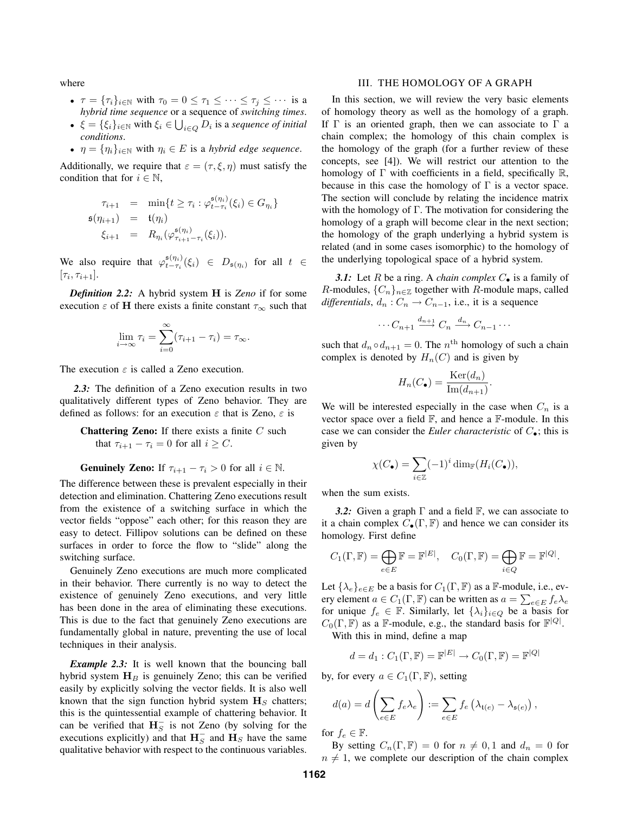where

- $\tau = {\tau_i}_{i \in \mathbb{N}}$  with  $\tau_0 = 0 \leq \tau_1 \leq \cdots \leq \tau_j \leq \cdots$  is a *hybrid time sequence* or a sequence of *switching times*.
- **•**  $\xi = \{\xi_i\}_{i \in \mathbb{N}}$  with  $\xi_i \in \bigcup_{i \in Q} D_i$  is a *sequence of initial conditions*.
- $\eta = {\eta_i}_{i \in \mathbb{N}}$  with  $\eta_i \in E$  is a *hybrid edge sequence*.

Additionally, we require that  $\varepsilon = (\tau, \xi, \eta)$  must satisfy the condition that for  $i \in \mathbb{N}$ ,

$$
\tau_{i+1} = \min\{t \ge \tau_i : \varphi_{t-\tau_i}^{s(\eta_i)}(\xi_i) \in G_{\eta_i}\}
$$
  
\n
$$
\mathfrak{s}(\eta_{i+1}) = \mathfrak{t}(\eta_i)
$$
  
\n
$$
\xi_{i+1} = R_{\eta_i}(\varphi_{\tau_{i+1}-\tau_i}^{s(\eta_i)}(\xi_i)).
$$

We also require that  $\varphi_{t-\tau_i}^{\mathfrak{s}(\eta_i)}(\xi_i) \in D_{\mathfrak{s}(\eta_i)}$  for all  $t \in$  $[\tau_i, \tau_{i+1}].$ 

*Definition 2.2:* A hybrid system **H** is *Zeno* if for some execution  $\varepsilon$  of **H** there exists a finite constant  $\tau_{\infty}$  such that

$$
\lim_{i \to \infty} \tau_i = \sum_{i=0}^{\infty} (\tau_{i+1} - \tau_i) = \tau_{\infty}.
$$

The execution  $\varepsilon$  is called a Zeno execution.

*2.3:* The definition of a Zeno execution results in two qualitatively different types of Zeno behavior. They are defined as follows: for an execution  $\varepsilon$  that is Zeno,  $\varepsilon$  is

**Chattering Zeno:** If there exists a finite C such that  $\tau_{i+1} - \tau_i = 0$  for all  $i \geq C$ .

**Genuinely Zeno:** If 
$$
\tau_{i+1} - \tau_i > 0
$$
 for all  $i \in \mathbb{N}$ .

The difference between these is prevalent especially in their detection and elimination. Chattering Zeno executions result from the existence of a switching surface in which the vector fields "oppose" each other; for this reason they are easy to detect. Fillipov solutions can be defined on these surfaces in order to force the flow to "slide" along the switching surface.

Genuinely Zeno executions are much more complicated in their behavior. There currently is no way to detect the existence of genuinely Zeno executions, and very little has been done in the area of eliminating these executions. This is due to the fact that genuinely Zeno executions are fundamentally global in nature, preventing the use of local techniques in their analysis.

*Example 2.3:* It is well known that the bouncing ball hybrid system  $H_B$  is genuinely Zeno; this can be verified easily by explicitly solving the vector fields. It is also well known that the sign function hybrid system  $\mathbf{H}_S$  chatters; this is the quintessential example of chattering behavior. It can be verified that  $H_S^-$  is not Zeno (by solving for the executions explicitly) and that  $\mathbf{H}_{S}^-$  and  $\mathbf{H}_{S}$  have the same qualitative behavior with respect to the continuous variables.

# III. THE HOMOLOGY OF A GRAPH

In this section, we will review the very basic elements of homology theory as well as the homology of a graph. If  $\Gamma$  is an oriented graph, then we can associate to  $\Gamma$  a chain complex; the homology of this chain complex is the homology of the graph (for a further review of these concepts, see [4]). We will restrict our attention to the homology of  $\Gamma$  with coefficients in a field, specifically  $\mathbb{R}$ , because in this case the homology of  $\Gamma$  is a vector space. The section will conclude by relating the incidence matrix with the homology of Γ. The motivation for considering the homology of a graph will become clear in the next section; the homology of the graph underlying a hybrid system is related (and in some cases isomorphic) to the homology of the underlying topological space of a hybrid system.

**3.1:** Let R be a ring. A *chain complex*  $C_{\bullet}$  is a family of R-modules,  $\{C_n\}_{n\in\mathbb{Z}}$  together with R-module maps, called *differentials*,  $d_n$  :  $C_n \to C_{n-1}$ , i.e., it is a sequence

$$
\cdots C_{n+1} \xrightarrow{d_{n+1}} C_n \xrightarrow{d_n} C_{n-1} \cdots
$$

such that  $d_n \circ d_{n+1} = 0$ . The  $n^{\text{th}}$  homology of such a chain complex is denoted by  $H_n(C)$  and is given by

$$
H_n(C_{\bullet}) = \frac{\text{Ker}(d_n)}{\text{Im}(d_{n+1})}.
$$

We will be interested especially in the case when  $C_n$  is a vector space over a field  $\mathbb{F}$ , and hence a  $\mathbb{F}$ -module. In this case we can consider the *Euler characteristic* of  $C_{\bullet}$ ; this is given by

$$
\chi(C_{\bullet}) = \sum_{i \in \mathbb{Z}} (-1)^i \dim_{\mathbb{F}}(H_i(C_{\bullet})),
$$

when the sum exists.

*3.2:* Given a graph Γ and a field F, we can associate to it a chain complex  $C_{\bullet}(\Gamma, \mathbb{F})$  and hence we can consider its homology. First define

$$
C_1(\Gamma, \mathbb{F}) = \bigoplus_{e \in E} \mathbb{F} = \mathbb{F}^{|E|}, \quad C_0(\Gamma, \mathbb{F}) = \bigoplus_{i \in Q} \mathbb{F} = \mathbb{F}^{|Q|}.
$$

Let  $\{\lambda_e\}_{e \in E}$  be a basis for  $C_1(\Gamma, \mathbb{F})$  as a  $\mathbb{F}$ -module, i.e., every element  $a \in C_1(\Gamma, \mathbb{F})$  can be written as  $a = \sum_{e \in E} f_e \lambda_e$ for unique  $f_e \in \mathbb{F}$ . Similarly, let  $\{\lambda_i\}_{i \in Q}$  be a basis for  $C_0(\Gamma, \mathbb{F})$  as a F-module, e.g., the standard basis for  $\mathbb{F}^{|Q|}$ .

With this in mind, define a map

$$
d = d_1 : C_1(\Gamma, \mathbb{F}) = \mathbb{F}^{|E|} \to C_0(\Gamma, \mathbb{F}) = \mathbb{F}^{|Q|}
$$

by, for every  $a \in C_1(\Gamma, \mathbb{F})$ , setting

$$
d(a) = d\left(\sum_{e \in E} f_e \lambda_e\right) := \sum_{e \in E} f_e \left(\lambda_{\mathfrak{t}(e)} - \lambda_{\mathfrak{s}(e)}\right),
$$

for  $f_e \in \mathbb{F}$ .

By setting  $C_n(\Gamma, \mathbb{F})=0$  for  $n \neq 0, 1$  and  $d_n = 0$  for  $n \neq 1$ , we complete our description of the chain complex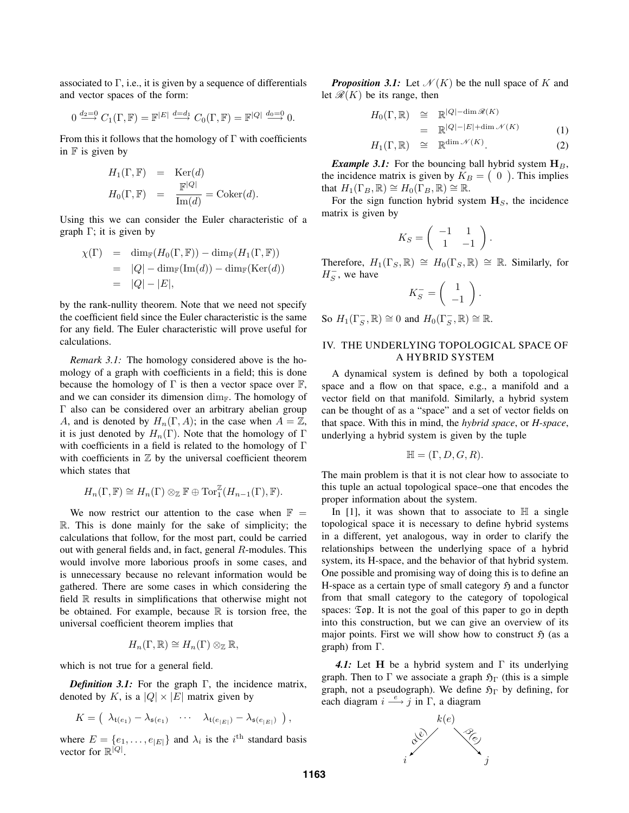associated to  $\Gamma$ , i.e., it is given by a sequence of differentials and vector spaces of the form:

$$
0 \xrightarrow{d_2=0} C_1(\Gamma, \mathbb{F}) = \mathbb{F}^{|E|} \xrightarrow{d=d_1} C_0(\Gamma, \mathbb{F}) = \mathbb{F}^{|Q|} \xrightarrow{d_0=0} 0.
$$

From this it follows that the homology of  $\Gamma$  with coefficients in  $\mathbb F$  is given by

$$
H_1(\Gamma, \mathbb{F}) = \text{Ker}(d)
$$
  

$$
H_0(\Gamma, \mathbb{F}) = \frac{\mathbb{F}^{|Q|}}{\text{Im}(d)} = \text{Coker}(d).
$$

Using this we can consider the Euler characteristic of a graph  $\Gamma$ ; it is given by

$$
\chi(\Gamma) = \dim_{\mathbb{F}}(H_0(\Gamma, \mathbb{F})) - \dim_{\mathbb{F}}(H_1(\Gamma, \mathbb{F}))
$$
  
=  $|Q| - \dim_{\mathbb{F}}(\text{Im}(d)) - \dim_{\mathbb{F}}(\text{Ker}(d))$   
=  $|Q| - |E|$ ,

by the rank-nullity theorem. Note that we need not specify the coefficient field since the Euler characteristic is the same for any field. The Euler characteristic will prove useful for calculations.

*Remark 3.1:* The homology considered above is the homology of a graph with coefficients in a field; this is done because the homology of  $\Gamma$  is then a vector space over  $\mathbb{F}$ , and we can consider its dimension  $\dim_{\mathbb{F}}$ . The homology of Γ also can be considered over an arbitrary abelian group A, and is denoted by  $H_n(\Gamma, A)$ ; in the case when  $A = \mathbb{Z}$ , it is just denoted by  $H_n(\Gamma)$ . Note that the homology of  $\Gamma$ with coefficients in a field is related to the homology of Γ with coefficients in  $Z$  by the universal coefficient theorem which states that

$$
H_n(\Gamma, \mathbb{F}) \cong H_n(\Gamma) \otimes_{\mathbb{Z}} \mathbb{F} \oplus \text{Tor}_1^{\mathbb{Z}}(H_{n-1}(\Gamma), \mathbb{F}).
$$

We now restrict our attention to the case when  $\mathbb{F}$  = R. This is done mainly for the sake of simplicity; the calculations that follow, for the most part, could be carried out with general fields and, in fact, general  $R$ -modules. This would involve more laborious proofs in some cases, and is unnecessary because no relevant information would be gathered. There are some cases in which considering the field R results in simplifications that otherwise might not be obtained. For example, because  $\mathbb R$  is torsion free, the universal coefficient theorem implies that

$$
H_n(\Gamma,\mathbb{R})\cong H_n(\Gamma)\otimes_{\mathbb{Z}}\mathbb{R},
$$

which is not true for a general field.

*Definition 3.1:* For the graph Γ, the incidence matrix, denoted by K, is a  $|Q| \times |E|$  matrix given by

$$
K = \begin{pmatrix} \lambda_{\mathfrak{t}(e_1)} - \lambda_{\mathfrak{s}(e_1)} & \cdots & \lambda_{\mathfrak{t}(e_{|E|})} - \lambda_{\mathfrak{s}(e_{|E|})} \end{pmatrix},
$$

where  $E = \{e_1, \ldots, e_{|E|}\}\$  and  $\lambda_i$  is the  $i^{\text{th}}$  standard basis vector for  $\mathbb{R}^{|Q|}$ .

**Proposition 3.1:** Let  $\mathcal{N}(K)$  be the null space of K and let  $\mathcal{R}(K)$  be its range, then

$$
H_0(\Gamma, \mathbb{R}) \cong \mathbb{R}^{|Q| - \dim \mathcal{R}(K)}
$$
  
\n
$$
= \mathbb{R}^{|Q| - |E| + \dim \mathcal{N}(K)}
$$
(1)  
\n
$$
H_1(\Gamma, \mathbb{R}) \cong \mathbb{R}^{\dim \mathcal{N}(K)}.
$$
(2)

*Example 3.1:* For the bouncing ball hybrid system  $H_B$ , the incidence matrix is given by  $K_B = \begin{pmatrix} 0 \end{pmatrix}$ . This implies that  $H_1(\Gamma_B, \mathbb{R}) \cong H_0(\Gamma_B, \mathbb{R}) \cong \mathbb{R}$ .

For the sign function hybrid system  $H<sub>S</sub>$ , the incidence matrix is given by

$$
K_S = \left( \begin{array}{cc} -1 & 1 \\ 1 & -1 \end{array} \right).
$$

Therefore,  $H_1(\Gamma_S, \mathbb{R}) \cong H_0(\Gamma_S, \mathbb{R}) \cong \mathbb{R}$ . Similarly, for  $H_S^-$ , we have

$$
K_S^- = \left(\begin{array}{c} 1 \\ -1 \end{array}\right).
$$

So  $H_1(\Gamma_S^-,\mathbb{R}) \cong 0$  and  $H_0(\Gamma_S^-,\mathbb{R}) \cong \mathbb{R}$ .

# IV. THE UNDERLYING TOPOLOGICAL SPACE OF A HYBRID SYSTEM

A dynamical system is defined by both a topological space and a flow on that space, e.g., a manifold and a vector field on that manifold. Similarly, a hybrid system can be thought of as a "space" and a set of vector fields on that space. With this in mind, the *hybrid space*, or *H-space*, underlying a hybrid system is given by the tuple

$$
\mathbb{H} = (\Gamma, D, G, R).
$$

The main problem is that it is not clear how to associate to this tuple an actual topological space–one that encodes the proper information about the system.

In [1], it was shown that to associate to  $\mathbb H$  a single topological space it is necessary to define hybrid systems in a different, yet analogous, way in order to clarify the relationships between the underlying space of a hybrid system, its H-space, and the behavior of that hybrid system. One possible and promising way of doing this is to define an H-space as a certain type of small category  $\mathfrak{H}$  and a functor from that small category to the category of topological spaces:  $\mathfrak{Top}$ . It is not the goal of this paper to go in depth into this construction, but we can give an overview of its major points. First we will show how to construct  $\mathfrak{H}$  (as a graph) from Γ.

*4.1:* Let **H** be a hybrid system and Γ its underlying graph. Then to Γ we associate a graph  $\mathfrak{H}_{\Gamma}$  (this is a simple graph, not a pseudograph). We define  $\mathfrak{H}_{\Gamma}$  by defining, for each diagram  $i \stackrel{e}{\longrightarrow} j$  in Γ, a diagram

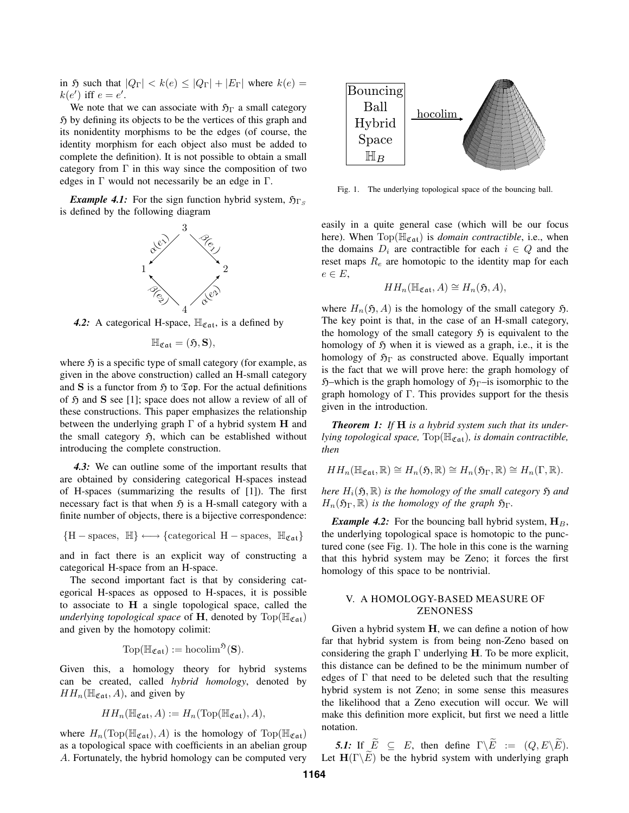in  $\mathfrak H$  such that  $|Q_{\Gamma}| < k(e) \leq |Q_{\Gamma}| + |E_{\Gamma}|$  where  $k(e) =$  $k(e')$  iff  $e = e'$ .

We note that we can associate with  $\mathfrak{H}_{\Gamma}$  a small category  $\mathfrak H$  by defining its objects to be the vertices of this graph and its nonidentity morphisms to be the edges (of course, the identity morphism for each object also must be added to complete the definition). It is not possible to obtain a small category from  $\Gamma$  in this way since the composition of two edges in  $\Gamma$  would not necessarily be an edge in  $\Gamma$ .

*Example 4.1:* For the sign function hybrid system,  $\mathfrak{H}_{\Gamma}$ is defined by the following diagram



4.2: A categorical H-space,  $\mathbb{H}_{\mathfrak{Cat}}$ , is a defined by

$$
\mathbb{H}_{\mathfrak{Cat}} = (\mathfrak{H}, \mathbf{S}),
$$

where  $\tilde{\mathfrak{H}}$  is a specific type of small category (for example, as given in the above construction) called an H-small category and **S** is a functor from  $\mathfrak{H}$  to  $\mathfrak{Top}$ . For the actual definitions of  $\mathfrak H$  and  $S$  see [1]; space does not allow a review of all of these constructions. This paper emphasizes the relationship between the underlying graph Γ of a hybrid system **H** and the small category  $\mathfrak{H}$ , which can be established without introducing the complete construction.

*4.3:* We can outline some of the important results that are obtained by considering categorical H-spaces instead of H-spaces (summarizing the results of [1]). The first necessary fact is that when  $\tilde{p}$  is a H-small category with a finite number of objects, there is a bijective correspondence:

$$
\{H-\text{spaces},\ \mathbb{H}\}\longleftrightarrow\{\text{categorical }H-\text{spaces},\ \mathbb{H}_{\mathfrak{Cat}}\}
$$

and in fact there is an explicit way of constructing a categorical H-space from an H-space.

The second important fact is that by considering categorical H-spaces as opposed to H-spaces, it is possible to associate to **H** a single topological space, called the *underlying topological space* of **H**, denoted by  $\text{Top}(\mathbb{H}_{\mathfrak{Cat}})$ and given by the homotopy colimit:

$$
\mathrm{Top}(\mathbb{H}_{\mathfrak{Cat}}):= \mathrm{hocolim}^{\mathfrak{H}}(\mathbf{S}).
$$

Given this, a homology theory for hybrid systems can be created, called *hybrid homology*, denoted by  $HH_n(\mathbb{H}_{\mathfrak{Cat}}, A)$ , and given by

$$
HH_n(\mathbb{H}_{\mathfrak{Cat}}, A) := H_n(\text{Top}(\mathbb{H}_{\mathfrak{Cat}}), A),
$$

where  $H_n(\text{Top}(\mathbb{H}_{\mathfrak{Cat}}), A)$  is the homology of  $\text{Top}(\mathbb{H}_{\mathfrak{Cat}})$ as a topological space with coefficients in an abelian group A. Fortunately, the hybrid homology can be computed very



Fig. 1. The underlying topological space of the bouncing ball.

easily in a quite general case (which will be our focus here). When  $Top(\mathbb{H}_{\mathfrak{Cat}})$  is *domain contractible*, i.e., when the domains  $D_i$  are contractible for each  $i \in Q$  and the reset maps  $R_e$  are homotopic to the identity map for each  $e \in E$ ,

$$
HH_n(\mathbb{H}_{\mathfrak{Cat}}, A) \cong H_n(\mathfrak{H}, A),
$$

where  $H_n(\mathfrak{H}, A)$  is the homology of the small category  $\mathfrak{H}$ . The key point is that, in the case of an H-small category, the homology of the small category  $\mathfrak H$  is equivalent to the homology of  $\mathfrak H$  when it is viewed as a graph, i.e., it is the homology of  $\mathfrak{H}_{\Gamma}$  as constructed above. Equally important is the fact that we will prove here: the graph homology of  $\mathfrak{H}$ –which is the graph homology of  $\mathfrak{H}_{\Gamma}$ –is isomorphic to the graph homology of  $\Gamma$ . This provides support for the thesis given in the introduction.

*Theorem 1: If* **H** *is a hybrid system such that its underlying topological space,*  $Top(\mathbb{H}_{\mathfrak{Cat}})$ *, is domain contractible, then*

$$
HH_n(\mathbb{H}_{\mathfrak{Cat}}, \mathbb{R}) \cong H_n(\mathfrak{H}, \mathbb{R}) \cong H_n(\mathfrak{H}_{\Gamma}, \mathbb{R}) \cong H_n(\Gamma, \mathbb{R}).
$$

*here*  $H_i(\mathfrak{H}, \mathbb{R})$  *is the homology of the small category*  $\mathfrak{H}$  *and*  $H_n(\mathfrak{H}_{\Gamma}, \mathbb{R})$  *is the homology of the graph*  $\mathfrak{H}_{\Gamma}$ *.* 

*Example 4.2:* For the bouncing ball hybrid system,  $H_B$ , the underlying topological space is homotopic to the punctured cone (see Fig. 1). The hole in this cone is the warning that this hybrid system may be Zeno; it forces the first homology of this space to be nontrivial.

# V. A HOMOLOGY-BASED MEASURE OF ZENONESS

Given a hybrid system **H**, we can define a notion of how far that hybrid system is from being non-Zeno based on considering the graph Γ underlying **H**. To be more explicit, this distance can be defined to be the minimum number of edges of  $\Gamma$  that need to be deleted such that the resulting hybrid system is not Zeno; in some sense this measures the likelihood that a Zeno execution will occur. We will make this definition more explicit, but first we need a little notation.

*5.1:* If  $\widetilde{E} \subseteq E$ , then define  $\Gamma \backslash \widetilde{E} := (Q, E \backslash \widetilde{E}).$ Let  $H(\Gamma \backslash E)$  be the hybrid system with underlying graph